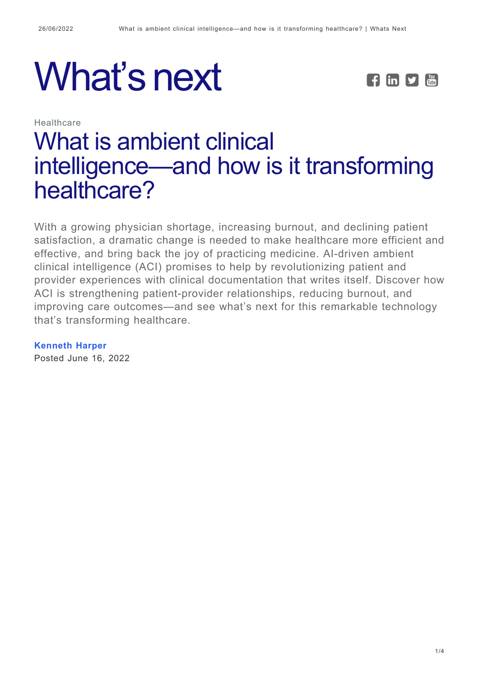# What's next FEE



**Healthcare** 

# [What is ambient clinical](https://whatsnext.nuance.com/healthcare/what-is-ambient-clinical-intelligence-and-how-is-it-transforming-care/) [intelligence—and how is it transforming](https://whatsnext.nuance.com/healthcare/what-is-ambient-clinical-intelligence-and-how-is-it-transforming-care/) [healthcare?](https://whatsnext.nuance.com/healthcare/what-is-ambient-clinical-intelligence-and-how-is-it-transforming-care/)

With a growing physician shortage, increasing burnout, and declining patient satisfaction, a dramatic change is needed to make healthcare more efficient and effective, and bring back the joy of practicing medicine. AI-driven ambient clinical intelligence (ACI) promises to help by revolutionizing patient and provider experiences with clinical documentation that writes itself. Discover how ACI is strengthening patient-provider relationships, reducing burnout, and improving care outcomes—and see what's next for this remarkable technology that's transforming healthcare.

**[Kenneth Harper](https://whatsnext.nuance.com/author/kenn-harper/)**

Posted June 16, 2022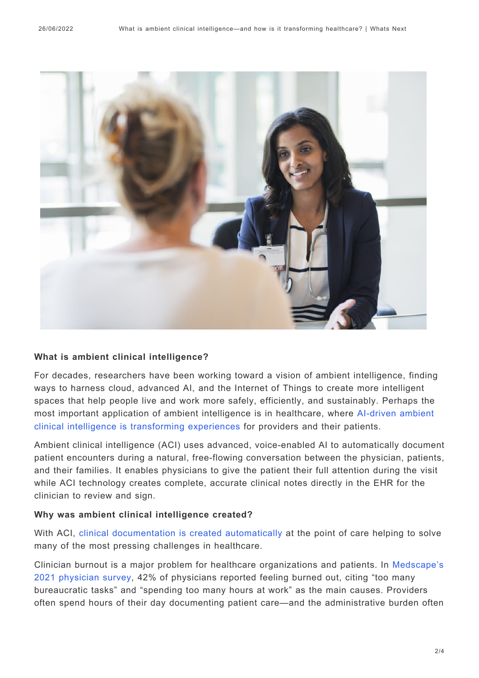

#### **What is ambient clinical intelligence?**

For decades, researchers have been working toward a vision of ambient intelligence, finding ways to harness cloud, advanced AI, and the Internet of Things to create more intelligent spaces that help people live and work more safely, efficiently, and sustainably. Perhaps the most important application of ambient intelligence is in healthcare, where [AI-driven ambient](https://whatsnext.nuance.com/healthcare/how-voice-based-ai-will-transform-care-delivery/) [clinical intelligence is transforming experiences](https://whatsnext.nuance.com/healthcare/how-voice-based-ai-will-transform-care-delivery/) for providers and their patients.

Ambient clinical intelligence (ACI) uses advanced, voice-enabled AI to automatically document patient encounters during a natural, free-flowing conversation between the physician, patients, and their families. It enables physicians to give the patient their full attention during the visit while ACI technology creates complete, accurate clinical notes directly in the EHR for the clinician to review and sign.

#### **Why was ambient clinical intelligence created?**

With ACI, [clinical documentation is created automatically](https://www.nuance.com/healthcare/ambient-clinical-intelligence.html) at the point of care helping to solve many of the most pressing challenges in healthcare.

Clinician burnout is a major problem for healthcare organizations and patients. In [Medscape's](https://www.medscape.com/slideshow/2021-lifestyle-burnout-6013456?faf=1#1) [2021 physician survey](https://www.medscape.com/slideshow/2021-lifestyle-burnout-6013456?faf=1#1), 42% of physicians reported feeling burned out, citing "too many bureaucratic tasks" and "spending too many hours at work" as the main causes. Providers often spend hours of their day documenting patient care—and the administrative burden often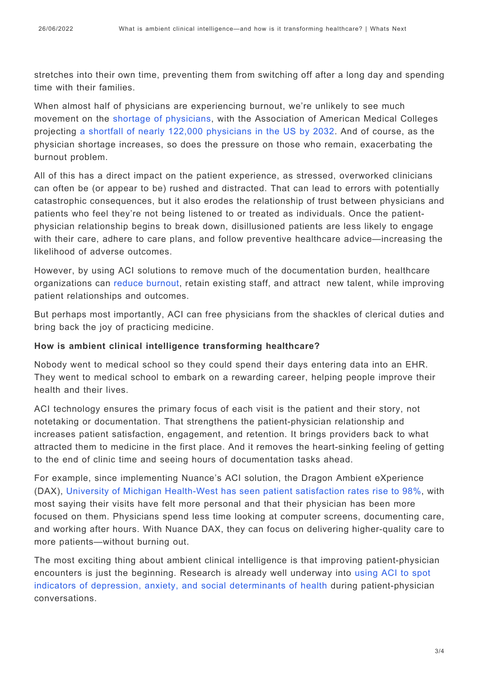stretches into their own time, preventing them from switching off after a long day and spending time with their families.

When almost half of physicians are experiencing burnout, we're unlikely to see much movement on the [shortage of physicians,](https://whatsnext.nuance.com/healthcare/the-role-ai-must-play-in-heading-off-the-physician-shortage/) with the Association of American Medical Colleges projecting [a shortfall of nearly 122,000 physicians in the US by 2032.](https://www.aamc.org/news-insights/press-releases/new-findings-confirm-predictions-physician-shortage) And of course, as the physician shortage increases, so does the pressure on those who remain, exacerbating the burnout problem.

All of this has a direct impact on the patient experience, as stressed, overworked clinicians can often be (or appear to be) rushed and distracted. That can lead to errors with potentially catastrophic consequences, but it also erodes the relationship of trust between physicians and patients who feel they're not being listened to or treated as individuals. Once the patientphysician relationship begins to break down, disillusioned patients are less likely to engage with their care, adhere to care plans, and follow preventive healthcare advice—increasing the likelihood of adverse outcomes.

However, by using ACI solutions to remove much of the documentation burden, healthcare organizations can [reduce burnout](https://whatsnext.nuance.com/healthcare/ambient-clinical-intelligence-the-antidote-to-burnout/), retain existing staff, and attract new talent, while improving patient relationships and outcomes.

But perhaps most importantly, ACI can free physicians from the shackles of clerical duties and bring back the joy of practicing medicine.

#### **How is ambient clinical intelligence transforming healthcare?**

Nobody went to medical school so they could spend their days entering data into an EHR. They went to medical school to embark on a rewarding career, helping people improve their health and their lives.

ACI technology ensures the primary focus of each visit is the patient and their story, not notetaking or documentation. That strengthens the patient-physician relationship and increases patient satisfaction, engagement, and retention. It brings providers back to what attracted them to medicine in the first place. And it removes the heart-sinking feeling of getting to the end of clinic time and seeing hours of documentation tasks ahead.

For example, since implementing Nuance's ACI solution, the Dragon Ambient eXperience (DAX), [University of Michigan Health-West has seen patient satisfaction rates rise to 98%,](https://whatsnext.nuance.com/healthcare/reduce-clinician-burnout-with-ambient-clinical-experience/) with most saying their visits have felt more personal and that their physician has been more focused on them. Physicians spend less time looking at computer screens, documenting care, and working after hours. With Nuance DAX, they can focus on delivering higher-quality care to more patients—without burning out.

The most exciting thing about ambient clinical intelligence is that improving patient-physician encounters is just the beginning. Research is already well underway into [using ACI to spot](https://whatsnext.nuance.com/healthcare/how-voice-based-ai-will-transform-care-delivery/) [indicators of depression, anxiety, and social determinants of health](https://whatsnext.nuance.com/healthcare/how-voice-based-ai-will-transform-care-delivery/) during patient-physician conversations.